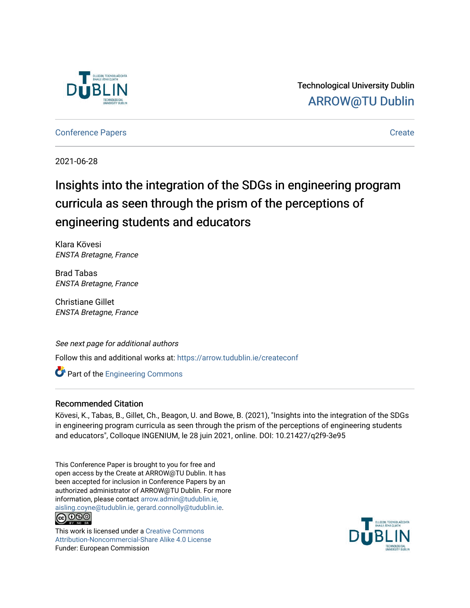

Technological University Dublin [ARROW@TU Dublin](https://arrow.tudublin.ie/) 

[Conference Papers](https://arrow.tudublin.ie/createconf) **Create** 

2021-06-28

# Insights into the integration of the SDGs in engineering program curricula as seen through the prism of the perceptions of engineering students and educators

Klara Kövesi ENSTA Bretagne, France

Brad Tabas ENSTA Bretagne, France

Christiane Gillet ENSTA Bretagne, France

#### See next page for additional authors

Follow this and additional works at: [https://arrow.tudublin.ie/createconf](https://arrow.tudublin.ie/createconf?utm_source=arrow.tudublin.ie%2Fcreateconf%2F7&utm_medium=PDF&utm_campaign=PDFCoverPages) 

**Part of the [Engineering Commons](http://network.bepress.com/hgg/discipline/217?utm_source=arrow.tudublin.ie%2Fcreateconf%2F7&utm_medium=PDF&utm_campaign=PDFCoverPages)** 

#### Recommended Citation

Kövesi, K., Tabas, B., Gillet, Ch., Beagon, U. and Bowe, B. (2021), "Insights into the integration of the SDGs in engineering program curricula as seen through the prism of the perceptions of engineering students and educators", Colloque INGENIUM, le 28 juin 2021, online. DOI: 10.21427/q2f9-3e95

This Conference Paper is brought to you for free and open access by the Create at ARROW@TU Dublin. It has been accepted for inclusion in Conference Papers by an authorized administrator of ARROW@TU Dublin. For more information, please contact [arrow.admin@tudublin.ie,](mailto:arrow.admin@tudublin.ie,%20aisling.coyne@tudublin.ie,%20gerard.connolly@tudublin.ie)  [aisling.coyne@tudublin.ie, gerard.connolly@tudublin.ie](mailto:arrow.admin@tudublin.ie,%20aisling.coyne@tudublin.ie,%20gerard.connolly@tudublin.ie). <u> @ ලෙම</u>

This work is licensed under a [Creative Commons](http://creativecommons.org/licenses/by-nc-sa/4.0/) [Attribution-Noncommercial-Share Alike 4.0 License](http://creativecommons.org/licenses/by-nc-sa/4.0/) Funder: European Commission

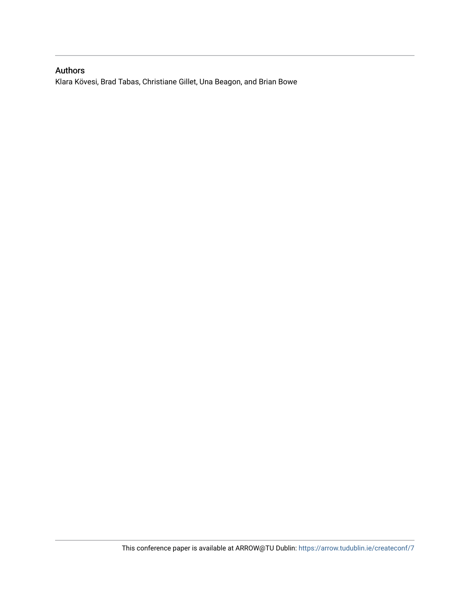## Authors

Klara Kövesi, Brad Tabas, Christiane Gillet, Una Beagon, and Brian Bowe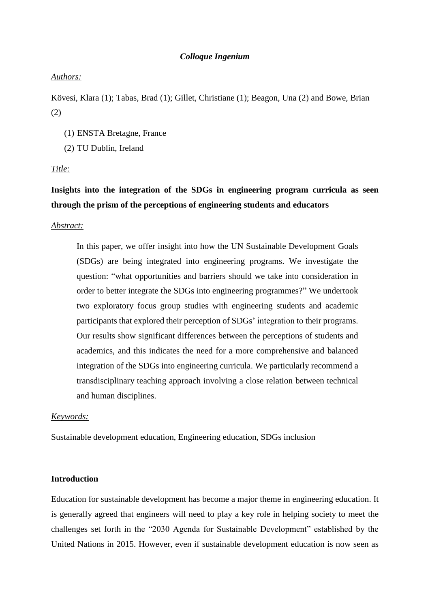#### *Colloque Ingenium*

#### *Authors:*

Kövesi, Klara (1); Tabas, Brad (1); Gillet, Christiane (1); Beagon, Una (2) and Bowe, Brian (2)

- (1) ENSTA Bretagne, France
- (2) TU Dublin, Ireland

#### *Title:*

# **Insights into the integration of the SDGs in engineering program curricula as seen through the prism of the perceptions of engineering students and educators**

#### *Abstract:*

In this paper, we offer insight into how the UN Sustainable Development Goals (SDGs) are being integrated into engineering programs. We investigate the question: "what opportunities and barriers should we take into consideration in order to better integrate the SDGs into engineering programmes?" We undertook two exploratory focus group studies with engineering students and academic participants that explored their perception of SDGs' integration to their programs. Our results show significant differences between the perceptions of students and academics, and this indicates the need for a more comprehensive and balanced integration of the SDGs into engineering curricula. We particularly recommend a transdisciplinary teaching approach involving a close relation between technical and human disciplines.

#### *Keywords:*

Sustainable development education, Engineering education, SDGs inclusion

#### **Introduction**

Education for sustainable development has become a major theme in engineering education. It is generally agreed that engineers will need to play a key role in helping society to meet the challenges set forth in the "2030 Agenda for Sustainable Development" established by the United Nations in 2015. However, even if sustainable development education is now seen as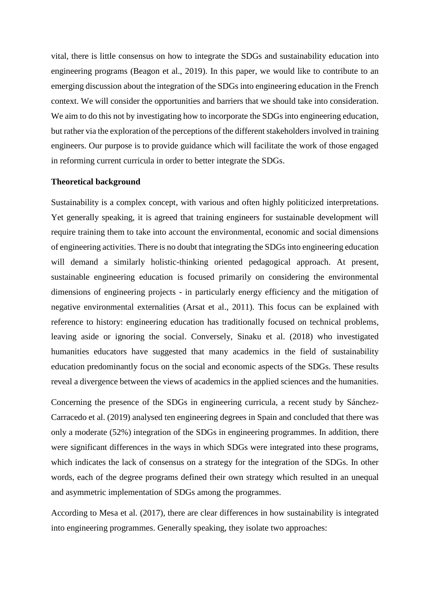vital, there is little consensus on how to integrate the SDGs and sustainability education into engineering programs (Beagon et al., 2019). In this paper, we would like to contribute to an emerging discussion about the integration of the SDGs into engineering education in the French context. We will consider the opportunities and barriers that we should take into consideration. We aim to do this not by investigating how to incorporate the SDGs into engineering education, but rather via the exploration of the perceptions of the different stakeholdersinvolved in training engineers. Our purpose is to provide guidance which will facilitate the work of those engaged in reforming current curricula in order to better integrate the SDGs.

#### **Theoretical background**

Sustainability is a complex concept, with various and often highly politicized interpretations. Yet generally speaking, it is agreed that training engineers for sustainable development will require training them to take into account the environmental, economic and social dimensions of engineering activities. There is no doubt that integrating the SDGs into engineering education will demand a similarly holistic-thinking oriented pedagogical approach. At present, sustainable engineering education is focused primarily on considering the environmental dimensions of engineering projects - in particularly energy efficiency and the mitigation of negative environmental externalities (Arsat et al., 2011). This focus can be explained with reference to history: engineering education has traditionally focused on technical problems, leaving aside or ignoring the social. Conversely, Sinaku et al. (2018) who investigated humanities educators have suggested that many academics in the field of sustainability education predominantly focus on the social and economic aspects of the SDGs. These results reveal a divergence between the views of academics in the applied sciences and the humanities.

Concerning the presence of the SDGs in engineering curricula, a recent study by Sánchez-Carracedo et al. (2019) analysed ten engineering degrees in Spain and concluded that there was only a moderate (52%) integration of the SDGs in engineering programmes. In addition, there were significant differences in the ways in which SDGs were integrated into these programs, which indicates the lack of consensus on a strategy for the integration of the SDGs. In other words, each of the degree programs defined their own strategy which resulted in an unequal and asymmetric implementation of SDGs among the programmes.

According to Mesa et al. (2017), there are clear differences in how sustainability is integrated into engineering programmes. Generally speaking, they isolate two approaches: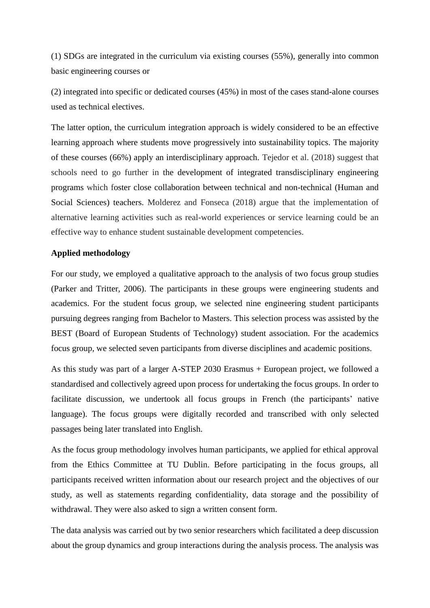(1) SDGs are integrated in the curriculum via existing courses (55%), generally into common basic engineering courses or

(2) integrated into specific or dedicated courses (45%) in most of the cases stand-alone courses used as technical electives.

The latter option, the curriculum integration approach is widely considered to be an effective learning approach where students move progressively into sustainability topics. The majority of these courses (66%) apply an interdisciplinary approach. Tejedor et al. (2018) suggest that schools need to go further in the development of integrated transdisciplinary engineering programs which foster close collaboration between technical and non-technical (Human and Social Sciences) teachers. Molderez and Fonseca (2018) argue that the implementation of alternative learning activities such as real-world experiences or service learning could be an effective way to enhance student sustainable development competencies.

### **Applied methodology**

For our study, we employed a qualitative approach to the analysis of two focus group studies (Parker and Tritter, 2006). The participants in these groups were engineering students and academics. For the student focus group, we selected nine engineering student participants pursuing degrees ranging from Bachelor to Masters. This selection process was assisted by the BEST (Board of European Students of Technology) student association. For the academics focus group, we selected seven participants from diverse disciplines and academic positions.

As this study was part of a larger A-STEP 2030 Erasmus + European project, we followed a standardised and collectively agreed upon process for undertaking the focus groups. In order to facilitate discussion, we undertook all focus groups in French (the participants' native language). The focus groups were digitally recorded and transcribed with only selected passages being later translated into English.

As the focus group methodology involves human participants, we applied for ethical approval from the Ethics Committee at TU Dublin. Before participating in the focus groups, all participants received written information about our research project and the objectives of our study, as well as statements regarding confidentiality, data storage and the possibility of withdrawal. They were also asked to sign a written consent form.

The data analysis was carried out by two senior researchers which facilitated a deep discussion about the group dynamics and group interactions during the analysis process. The analysis was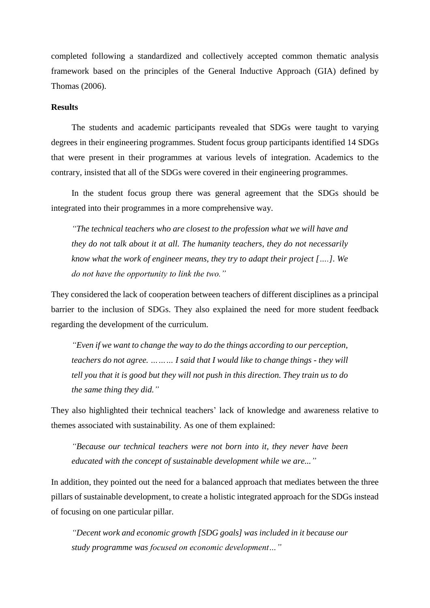completed following a standardized and collectively accepted common thematic analysis framework based on the principles of the General Inductive Approach (GIA) defined by Thomas (2006).

#### **Results**

The students and academic participants revealed that SDGs were taught to varying degrees in their engineering programmes. Student focus group participants identified 14 SDGs that were present in their programmes at various levels of integration. Academics to the contrary, insisted that all of the SDGs were covered in their engineering programmes.

In the student focus group there was general agreement that the SDGs should be integrated into their programmes in a more comprehensive way.

*"The technical teachers who are closest to the profession what we will have and they do not talk about it at all. The humanity teachers, they do not necessarily know what the work of engineer means, they try to adapt their project [….]. We do not have the opportunity to link the two."*

They considered the lack of cooperation between teachers of different disciplines as a principal barrier to the inclusion of SDGs. They also explained the need for more student feedback regarding the development of the curriculum.

*"Even if we want to change the way to do the things according to our perception, teachers do not agree. ……… I said that I would like to change things - they will tell you that it is good but they will not push in this direction. They train us to do the same thing they did."*

They also highlighted their technical teachers' lack of knowledge and awareness relative to themes associated with sustainability. As one of them explained:

*"Because our technical teachers were not born into it, they never have been educated with the concept of sustainable development while we are..."*

In addition, they pointed out the need for a balanced approach that mediates between the three pillars of sustainable development, to create a holistic integrated approach for the SDGs instead of focusing on one particular pillar.

*"Decent work and economic growth [SDG goals] was included in it because our study programme was focused on economic development…"*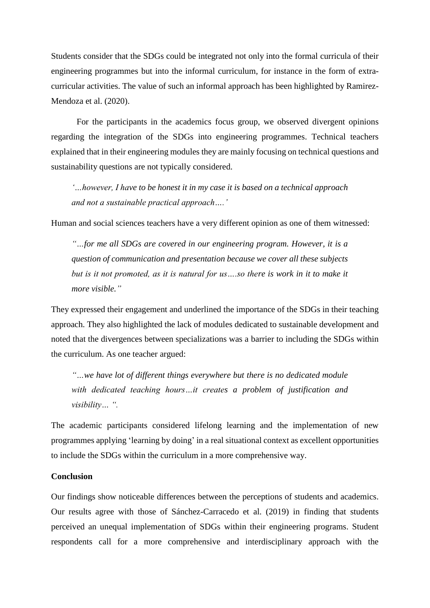Students consider that the SDGs could be integrated not only into the formal curricula of their engineering programmes but into the informal curriculum, for instance in the form of extracurricular activities. The value of such an informal approach has been highlighted by Ramirez-Mendoza et al. (2020).

For the participants in the academics focus group, we observed divergent opinions regarding the integration of the SDGs into engineering programmes. Technical teachers explained that in their engineering modules they are mainly focusing on technical questions and sustainability questions are not typically considered.

*'…however, I have to be honest it in my case it is based on a technical approach and not a sustainable practical approach….'*

Human and social sciences teachers have a very different opinion as one of them witnessed:

*"…for me all SDGs are covered in our engineering program. However, it is a question of communication and presentation because we cover all these subjects but is it not promoted, as it is natural for us….so there is work in it to make it more visible."*

They expressed their engagement and underlined the importance of the SDGs in their teaching approach. They also highlighted the lack of modules dedicated to sustainable development and noted that the divergences between specializations was a barrier to including the SDGs within the curriculum. As one teacher argued:

*"…we have lot of different things everywhere but there is no dedicated module with dedicated teaching hours…it creates a problem of justification and visibility… ".*

The academic participants considered lifelong learning and the implementation of new programmes applying 'learning by doing' in a real situational context as excellent opportunities to include the SDGs within the curriculum in a more comprehensive way.

#### **Conclusion**

Our findings show noticeable differences between the perceptions of students and academics. Our results agree with those of Sánchez-Carracedo et al. (2019) in finding that students perceived an unequal implementation of SDGs within their engineering programs. Student respondents call for a more comprehensive and interdisciplinary approach with the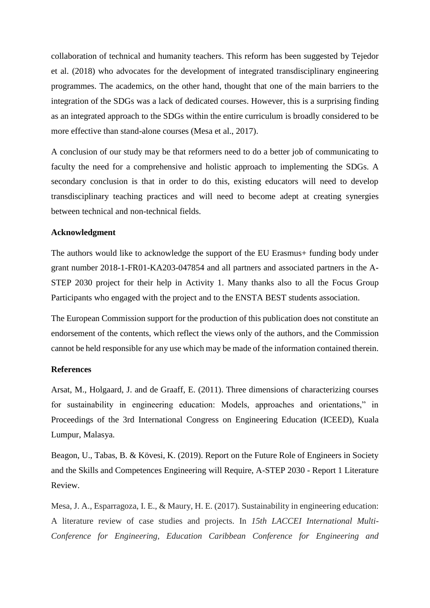collaboration of technical and humanity teachers. This reform has been suggested by Tejedor et al. (2018) who advocates for the development of integrated transdisciplinary engineering programmes. The academics, on the other hand, thought that one of the main barriers to the integration of the SDGs was a lack of dedicated courses. However, this is a surprising finding as an integrated approach to the SDGs within the entire curriculum is broadly considered to be more effective than stand-alone courses (Mesa et al., 2017).

A conclusion of our study may be that reformers need to do a better job of communicating to faculty the need for a comprehensive and holistic approach to implementing the SDGs. A secondary conclusion is that in order to do this, existing educators will need to develop transdisciplinary teaching practices and will need to become adept at creating synergies between technical and non-technical fields.

#### **Acknowledgment**

The authors would like to acknowledge the support of the EU Erasmus+ funding body under grant number 2018-1-FR01-KA203-047854 and all partners and associated partners in the A-STEP 2030 project for their help in Activity 1. Many thanks also to all the Focus Group Participants who engaged with the project and to the ENSTA BEST students association.

The European Commission support for the production of this publication does not constitute an endorsement of the contents, which reflect the views only of the authors, and the Commission cannot be held responsible for any use which may be made of the information contained therein.

#### **References**

Arsat, M., Holgaard, J. and de Graaff, E. (2011). Three dimensions of characterizing courses for sustainability in engineering education: Models, approaches and orientations," in Proceedings of the 3rd International Congress on Engineering Education (ICEED), Kuala Lumpur, Malasya.

Beagon, U., Tabas, B. & Kövesi, K. (2019). Report on the Future Role of Engineers in Society and the Skills and Competences Engineering will Require, A-STEP 2030 - Report 1 Literature Review.

Mesa, J. A., Esparragoza, I. E., & Maury, H. E. (2017). Sustainability in engineering education: A literature review of case studies and projects. In *15th LACCEI International Multi-Conference for Engineering, Education Caribbean Conference for Engineering and*